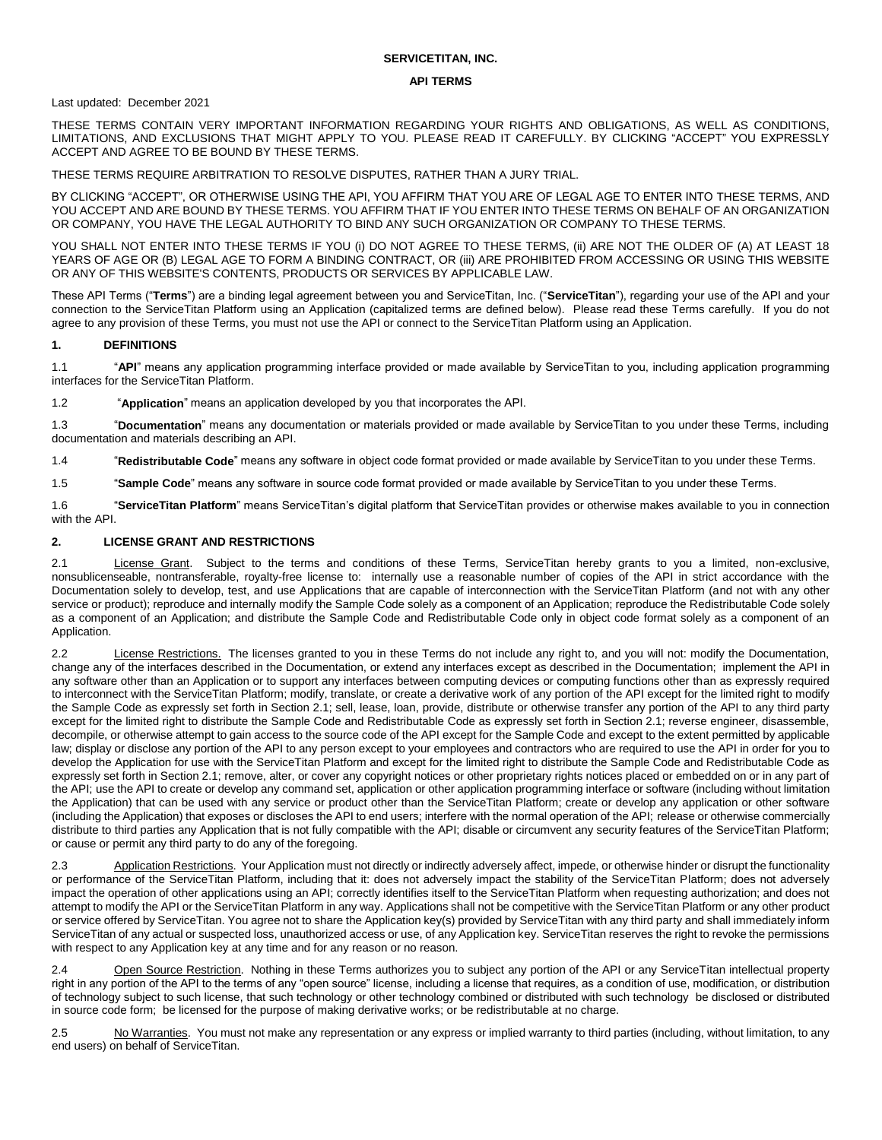## **SERVICETITAN, INC.**

#### **API TERMS**

### Last updated: December 2021

THESE TERMS CONTAIN VERY IMPORTANT INFORMATION REGARDING YOUR RIGHTS AND OBLIGATIONS, AS WELL AS CONDITIONS, LIMITATIONS, AND EXCLUSIONS THAT MIGHT APPLY TO YOU. PLEASE READ IT CAREFULLY. BY CLICKING "ACCEPT" YOU EXPRESSLY ACCEPT AND AGREE TO BE BOUND BY THESE TERMS.

THESE TERMS REQUIRE ARBITRATION TO RESOLVE DISPUTES, RATHER THAN A JURY TRIAL.

BY CLICKING "ACCEPT", OR OTHERWISE USING THE API, YOU AFFIRM THAT YOU ARE OF LEGAL AGE TO ENTER INTO THESE TERMS, AND YOU ACCEPT AND ARE BOUND BY THESE TERMS. YOU AFFIRM THAT IF YOU ENTER INTO THESE TERMS ON BEHALF OF AN ORGANIZATION OR COMPANY, YOU HAVE THE LEGAL AUTHORITY TO BIND ANY SUCH ORGANIZATION OR COMPANY TO THESE TERMS.

YOU SHALL NOT ENTER INTO THESE TERMS IF YOU (i) DO NOT AGREE TO THESE TERMS, (ii) ARE NOT THE OLDER OF (A) AT LEAST 18 YEARS OF AGE OR (B) LEGAL AGE TO FORM A BINDING CONTRACT, OR (iii) ARE PROHIBITED FROM ACCESSING OR USING THIS WEBSITE OR ANY OF THIS WEBSITE'S CONTENTS, PRODUCTS OR SERVICES BY APPLICABLE LAW.

These API Terms ("**Terms**") are a binding legal agreement between you and ServiceTitan, Inc. ("**ServiceTitan**"), regarding your use of the API and your connection to the ServiceTitan Platform using an Application (capitalized terms are defined below). Please read these Terms carefully. If you do not agree to any provision of these Terms, you must not use the API or connect to the ServiceTitan Platform using an Application.

### **1. DEFINITIONS**

1.1 "**API**" means any application programming interface provided or made available by ServiceTitan to you, including application programming interfaces for the ServiceTitan Platform.

1.2 "**Application**" means an application developed by you that incorporates the API.

1.3 "**Documentation**" means any documentation or materials provided or made available by ServiceTitan to you under these Terms, including documentation and materials describing an API.

1.4 "**Redistributable Code**" means any software in object code format provided or made available by ServiceTitan to you under these Terms.

1.5 "**Sample Code**" means any software in source code format provided or made available by ServiceTitan to you under these Terms.

1.6 "**ServiceTitan Platform**" means ServiceTitan's digital platform that ServiceTitan provides or otherwise makes available to you in connection with the API.

### **2. LICENSE GRANT AND RESTRICTIONS**

2.1 License Grant. Subject to the terms and conditions of these Terms, ServiceTitan hereby grants to you a limited, non-exclusive, nonsublicenseable, nontransferable, royalty-free license to: internally use a reasonable number of copies of the API in strict accordance with the Documentation solely to develop, test, and use Applications that are capable of interconnection with the ServiceTitan Platform (and not with any other service or product); reproduce and internally modify the Sample Code solely as a component of an Application; reproduce the Redistributable Code solely as a component of an Application; and distribute the Sample Code and Redistributable Code only in object code format solely as a component of an Application.

2.2 License Restrictions. The licenses granted to you in these Terms do not include any right to, and you will not: modify the Documentation, change any of the interfaces described in the Documentation, or extend any interfaces except as described in the Documentation; implement the API in any software other than an Application or to support any interfaces between computing devices or computing functions other than as expressly required to interconnect with the ServiceTitan Platform; modify, translate, or create a derivative work of any portion of the API except for the limited right to modify the Sample Code as expressly set forth in Section 2.1; sell, lease, loan, provide, distribute or otherwise transfer any portion of the API to any third party except for the limited right to distribute the Sample Code and Redistributable Code as expressly set forth in Section 2.1; reverse engineer, disassemble, decompile, or otherwise attempt to gain access to the source code of the API except for the Sample Code and except to the extent permitted by applicable law; display or disclose any portion of the API to any person except to your employees and contractors who are required to use the API in order for you to develop the Application for use with the ServiceTitan Platform and except for the limited right to distribute the Sample Code and Redistributable Code as expressly set forth in Section 2.1; remove, alter, or cover any copyright notices or other proprietary rights notices placed or embedded on or in any part of the API; use the API to create or develop any command set, application or other application programming interface or software (including without limitation the Application) that can be used with any service or product other than the ServiceTitan Platform; create or develop any application or other software (including the Application) that exposes or discloses the API to end users; interfere with the normal operation of the API; release or otherwise commercially distribute to third parties any Application that is not fully compatible with the API; disable or circumvent any security features of the ServiceTitan Platform; or cause or permit any third party to do any of the foregoing.

2.3 Application Restrictions. Your Application must not directly or indirectly adversely affect, impede, or otherwise hinder or disrupt the functionality or performance of the ServiceTitan Platform, including that it: does not adversely impact the stability of the ServiceTitan Platform; does not adversely impact the operation of other applications using an API; correctly identifies itself to the ServiceTitan Platform when requesting authorization; and does not attempt to modify the API or the ServiceTitan Platform in any way. Applications shall not be competitive with the ServiceTitan Platform or any other product or service offered by ServiceTitan. You agree not to share the Application key(s) provided by ServiceTitan with any third party and shall immediately inform ServiceTitan of any actual or suspected loss, unauthorized access or use, of any Application key. ServiceTitan reserves the right to revoke the permissions with respect to any Application key at any time and for any reason or no reason.

2.4 Open Source Restriction. Nothing in these Terms authorizes you to subject any portion of the API or any ServiceTitan intellectual property right in any portion of the API to the terms of any "open source" license, including a license that requires, as a condition of use, modification, or distribution of technology subject to such license, that such technology or other technology combined or distributed with such technology be disclosed or distributed in source code form; be licensed for the purpose of making derivative works; or be redistributable at no charge.

2.5 No Warranties. You must not make any representation or any express or implied warranty to third parties (including, without limitation, to any end users) on behalf of ServiceTitan.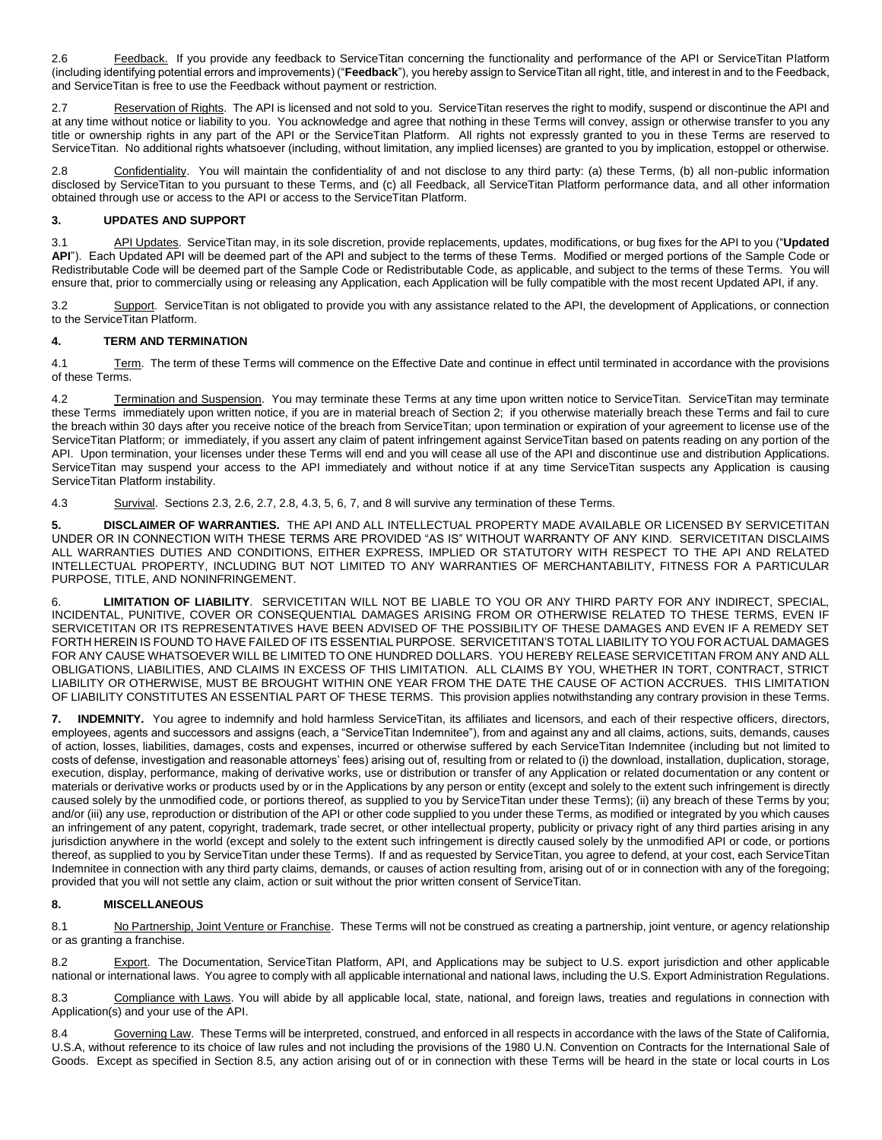2.6 Feedback. If you provide any feedback to ServiceTitan concerning the functionality and performance of the API or ServiceTitan Platform (including identifying potential errors and improvements) ("**Feedback**"), you hereby assign to ServiceTitan all right, title, and interest in and to the Feedback, and ServiceTitan is free to use the Feedback without payment or restriction.

2.7 Reservation of Rights. The API is licensed and not sold to you. ServiceTitan reserves the right to modify, suspend or discontinue the API and at any time without notice or liability to you. You acknowledge and agree that nothing in these Terms will convey, assign or otherwise transfer to you any title or ownership rights in any part of the API or the ServiceTitan Platform. All rights not expressly granted to you in these Terms are reserved to ServiceTitan. No additional rights whatsoever (including, without limitation, any implied licenses) are granted to you by implication, estoppel or otherwise.

2.8 Confidentiality. You will maintain the confidentiality of and not disclose to any third party: (a) these Terms, (b) all non-public information disclosed by ServiceTitan to you pursuant to these Terms, and (c) all Feedback, all ServiceTitan Platform performance data, and all other information obtained through use or access to the API or access to the ServiceTitan Platform.

## **3. UPDATES AND SUPPORT**

3.1 API Updates. ServiceTitan may, in its sole discretion, provide replacements, updates, modifications, or bug fixes for the API to you ("**Updated API**"). Each Updated API will be deemed part of the API and subject to the terms of these Terms. Modified or merged portions of the Sample Code or Redistributable Code will be deemed part of the Sample Code or Redistributable Code, as applicable, and subject to the terms of these Terms. You will ensure that, prior to commercially using or releasing any Application, each Application will be fully compatible with the most recent Updated API, if any.

3.2 Support. ServiceTitan is not obligated to provide you with any assistance related to the API, the development of Applications, or connection to the ServiceTitan Platform.

## **4. TERM AND TERMINATION**

4.1 Term. The term of these Terms will commence on the Effective Date and continue in effect until terminated in accordance with the provisions of these Terms.

4.2 Termination and Suspension. You may terminate these Terms at any time upon written notice to ServiceTitan. ServiceTitan may terminate these Terms immediately upon written notice, if you are in material breach of Section 2; if you otherwise materially breach these Terms and fail to cure the breach within 30 days after you receive notice of the breach from ServiceTitan; upon termination or expiration of your agreement to license use of the ServiceTitan Platform; or immediately, if you assert any claim of patent infringement against ServiceTitan based on patents reading on any portion of the API. Upon termination, your licenses under these Terms will end and you will cease all use of the API and discontinue use and distribution Applications. ServiceTitan may suspend your access to the API immediately and without notice if at any time ServiceTitan suspects any Application is causing ServiceTitan Platform instability.

4.3 Survival. Sections 2.3, 2.6, 2.7, 2.8, 4.3, 5, 6, 7, and 8 will survive any termination of these Terms.

**5. DISCLAIMER OF WARRANTIES.** THE API AND ALL INTELLECTUAL PROPERTY MADE AVAILABLE OR LICENSED BY SERVICETITAN UNDER OR IN CONNECTION WITH THESE TERMS ARE PROVIDED "AS IS" WITHOUT WARRANTY OF ANY KIND. SERVICETITAN DISCLAIMS ALL WARRANTIES DUTIES AND CONDITIONS, EITHER EXPRESS, IMPLIED OR STATUTORY WITH RESPECT TO THE API AND RELATED INTELLECTUAL PROPERTY, INCLUDING BUT NOT LIMITED TO ANY WARRANTIES OF MERCHANTABILITY, FITNESS FOR A PARTICULAR PURPOSE, TITLE, AND NONINFRINGEMENT.

6. **LIMITATION OF LIABILITY**. SERVICETITAN WILL NOT BE LIABLE TO YOU OR ANY THIRD PARTY FOR ANY INDIRECT, SPECIAL, INCIDENTAL, PUNITIVE, COVER OR CONSEQUENTIAL DAMAGES ARISING FROM OR OTHERWISE RELATED TO THESE TERMS, EVEN IF SERVICETITAN OR ITS REPRESENTATIVES HAVE BEEN ADVISED OF THE POSSIBILITY OF THESE DAMAGES AND EVEN IF A REMEDY SET FORTH HEREIN IS FOUND TO HAVE FAILED OF ITS ESSENTIAL PURPOSE. SERVICETITAN'S TOTAL LIABILITY TO YOU FOR ACTUAL DAMAGES FOR ANY CAUSE WHATSOEVER WILL BE LIMITED TO ONE HUNDRED DOLLARS. YOU HEREBY RELEASE SERVICETITAN FROM ANY AND ALL OBLIGATIONS, LIABILITIES, AND CLAIMS IN EXCESS OF THIS LIMITATION. ALL CLAIMS BY YOU, WHETHER IN TORT, CONTRACT, STRICT LIABILITY OR OTHERWISE, MUST BE BROUGHT WITHIN ONE YEAR FROM THE DATE THE CAUSE OF ACTION ACCRUES. THIS LIMITATION OF LIABILITY CONSTITUTES AN ESSENTIAL PART OF THESE TERMS. This provision applies notwithstanding any contrary provision in these Terms.

**7. INDEMNITY.** You agree to indemnify and hold harmless ServiceTitan, its affiliates and licensors, and each of their respective officers, directors, employees, agents and successors and assigns (each, a "ServiceTitan Indemnitee"), from and against any and all claims, actions, suits, demands, causes of action, losses, liabilities, damages, costs and expenses, incurred or otherwise suffered by each ServiceTitan Indemnitee (including but not limited to costs of defense, investigation and reasonable attorneys' fees) arising out of, resulting from or related to (i) the download, installation, duplication, storage, execution, display, performance, making of derivative works, use or distribution or transfer of any Application or related documentation or any content or materials or derivative works or products used by or in the Applications by any person or entity (except and solely to the extent such infringement is directly caused solely by the unmodified code, or portions thereof, as supplied to you by ServiceTitan under these Terms); (ii) any breach of these Terms by you; and/or (iii) any use, reproduction or distribution of the API or other code supplied to you under these Terms, as modified or integrated by you which causes an infringement of any patent, copyright, trademark, trade secret, or other intellectual property, publicity or privacy right of any third parties arising in any jurisdiction anywhere in the world (except and solely to the extent such infringement is directly caused solely by the unmodified API or code, or portions thereof, as supplied to you by ServiceTitan under these Terms). If and as requested by ServiceTitan, you agree to defend, at your cost, each ServiceTitan Indemnitee in connection with any third party claims, demands, or causes of action resulting from, arising out of or in connection with any of the foregoing; provided that you will not settle any claim, action or suit without the prior written consent of ServiceTitan.

# **8. MISCELLANEOUS**

8.1 No Partnership, Joint Venture or Franchise. These Terms will not be construed as creating a partnership, joint venture, or agency relationship or as granting a franchise.

8.2 Export. The Documentation, ServiceTitan Platform, API, and Applications may be subject to U.S. export jurisdiction and other applicable national or international laws. You agree to comply with all applicable international and national laws, including the U.S. Export Administration Regulations.

8.3 Compliance with Laws. You will abide by all applicable local, state, national, and foreign laws, treaties and regulations in connection with Application(s) and your use of the API.

8.4 Governing Law. These Terms will be interpreted, construed, and enforced in all respects in accordance with the laws of the State of California, U.S.A, without reference to its choice of law rules and not including the provisions of the 1980 U.N. Convention on Contracts for the International Sale of Goods. Except as specified in Section 8.5, any action arising out of or in connection with these Terms will be heard in the state or local courts in Los